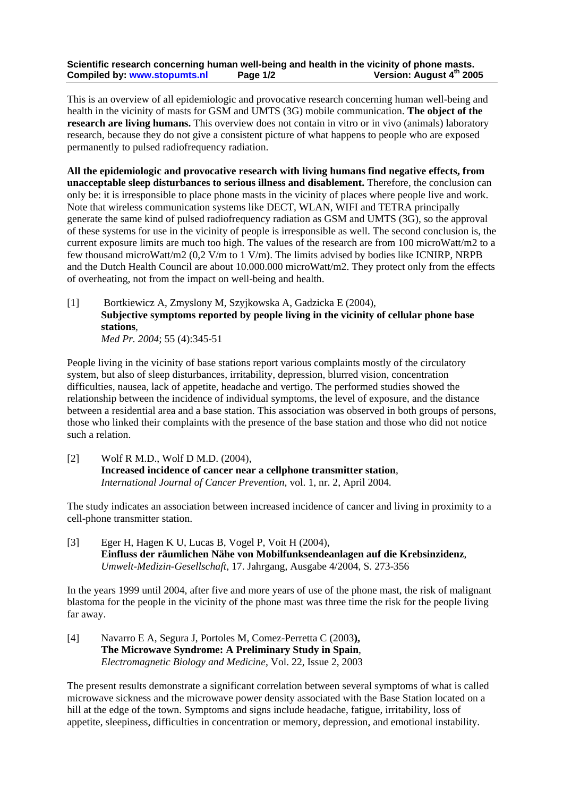## **Scientific research concerning human well-being and health in the vicinity of phone masts. Compiled by: www.stopumts.nl Page 1/2 Version: August 4th 2005**

This is an overview of all epidemiologic and provocative research concerning human well-being and health in the vicinity of masts for GSM and UMTS (3G) mobile communication. **The object of the research are living humans.** This overview does not contain in vitro or in vivo (animals) laboratory research, because they do not give a consistent picture of what happens to people who are exposed permanently to pulsed radiofrequency radiation.

**All the epidemiologic and provocative research with living humans find negative effects, from unacceptable sleep disturbances to serious illness and disablement.** Therefore, the conclusion can only be: it is irresponsible to place phone masts in the vicinity of places where people live and work. Note that wireless communication systems like DECT, WLAN, WIFI and TETRA principally generate the same kind of pulsed radiofrequency radiation as GSM and UMTS (3G), so the approval of these systems for use in the vicinity of people is irresponsible as well. The second conclusion is, the current exposure limits are much too high. The values of the research are from 100 microWatt/m2 to a few thousand microWatt/m2 (0,2 V/m to 1 V/m). The limits advised by bodies like ICNIRP, NRPB and the Dutch Health Council are about 10.000.000 microWatt/m2. They protect only from the effects of overheating, not from the impact on well-being and health.

[1] Bortkiewicz A, Zmyslony M, Szyjkowska A, Gadzicka E (2004), **Subjective symptoms reported by people living in the vicinity of cellular phone base stations**, *Med Pr. 2004*; 55 (4):345-51

People living in the vicinity of base stations report various complaints mostly of the circulatory system, but also of sleep disturbances, irritability, depression, blurred vision, concentration difficulties, nausea, lack of appetite, headache and vertigo. The performed studies showed the relationship between the incidence of individual symptoms, the level of exposure, and the distance between a residential area and a base station. This association was observed in both groups of persons, those who linked their complaints with the presence of the base station and those who did not notice such a relation.

[2] Wolf R M.D., Wolf D M.D. (2004), **Increased incidence of cancer near a cellphone transmitter station**, *International Journal of Cancer Prevention*, vol. 1, nr. 2, April 2004.

The study indicates an association between increased incidence of cancer and living in proximity to a cell-phone transmitter station.

[3] Eger H, Hagen K U, Lucas B, Vogel P, Voit H (2004), **Einfluss der räumlichen Nähe von Mobilfunksendeanlagen auf die Krebsinzidenz**, *Umwelt-Medizin-Gesellschaft*, 17. Jahrgang, Ausgabe 4/2004, S. 273-356

In the years 1999 until 2004, after five and more years of use of the phone mast, the risk of malignant blastoma for the people in the vicinity of the phone mast was three time the risk for the people living far away.

[4] Navarro E A, Segura J, Portoles M, Comez-Perretta C (2003**), The Microwave Syndrome: A Preliminary Study in Spain**, *Electromagnetic Biology and Medicine*, Vol. 22, Issue 2, 2003

The present results demonstrate a significant correlation between several symptoms of what is called microwave sickness and the microwave power density associated with the Base Station located on a hill at the edge of the town. Symptoms and signs include headache, fatigue, irritability, loss of appetite, sleepiness, difficulties in concentration or memory, depression, and emotional instability.